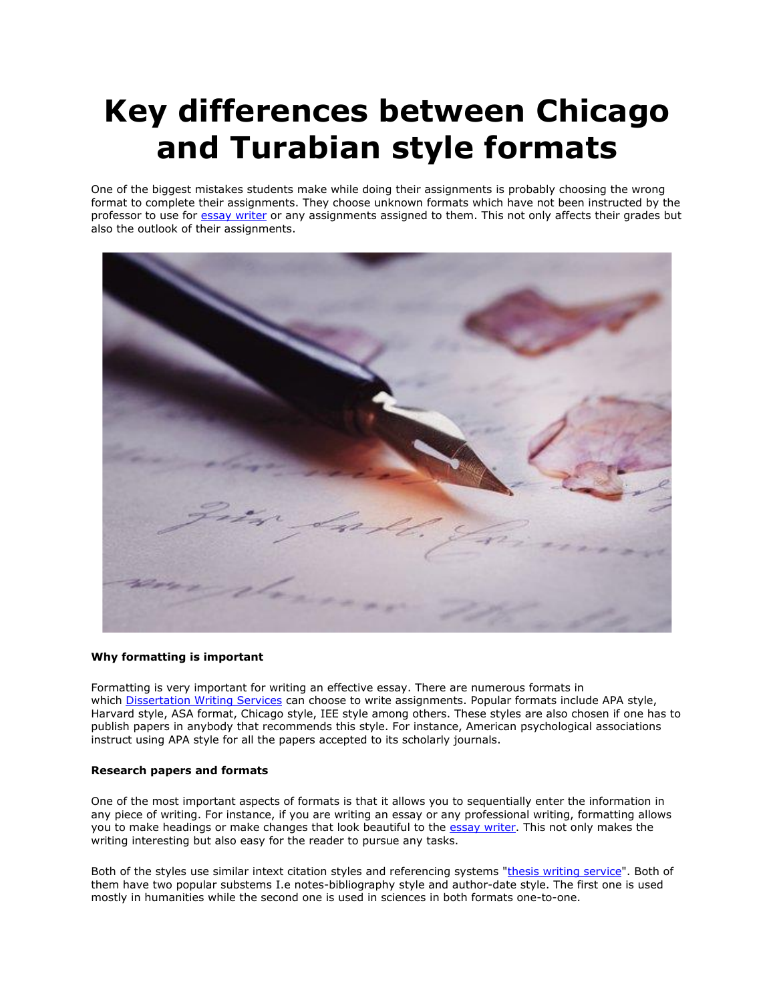## **Key differences between Chicago and Turabian style formats**

One of the biggest mistakes students make while doing their assignments is probably choosing the wrong format to complete their assignments. They choose unknown formats which have not been instructed by the professor to use for [essay writer](https://essayhours.com/) or any assignments assigned to them. This not only affects their grades but also the outlook of their assignments.



## **Why formatting is important**

Formatting is very important for writing an effective essay. There are numerous formats in which [Dissertation Writing Services](https://gradschoolgenius.com/) can choose to write assignments. Popular formats include APA style, Harvard style, ASA format, Chicago style, IEE style among others. These styles are also chosen if one has to publish papers in anybody that recommends this style. For instance, American psychological associations instruct using APA style for all the papers accepted to its scholarly journals.

## **Research papers and formats**

One of the most important aspects of formats is that it allows you to sequentially enter the information in any piece of writing. For instance, if you are writing an essay or any professional writing, formatting allows you to make headings or make changes that look beautiful to the [essay writer.](https://www.freeessaywriter.net/) This not only makes the writing interesting but also easy for the reader to pursue any tasks.

Both of the styles use similar intext citation styles and referencing systems ["thesis writing service"](https://gradschoolgenius.com/). Both of them have two popular substems I.e notes-bibliography style and author-date style. The first one is used mostly in humanities while the second one is used in sciences in both formats one-to-one.